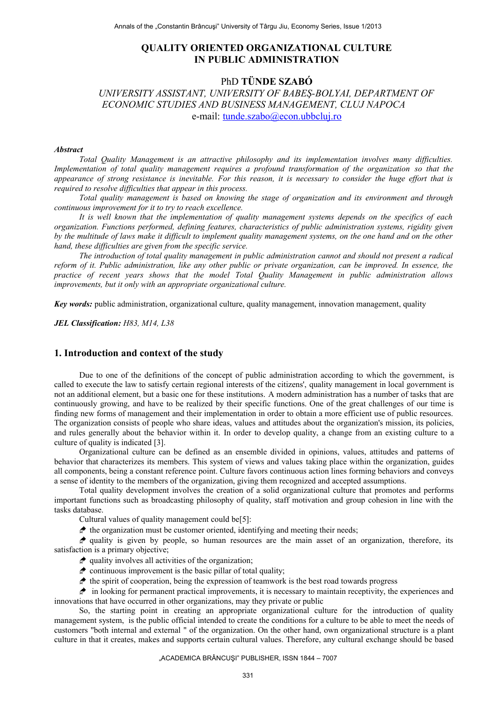# **QUALITY ORIENTED ORGANIZATIONAL CULTURE IN PUBLIC ADMINISTRATION**

# PhD **TÜNDE SZABÓ**

# *UNIVERSITY ASSISTANT, UNIVERSITY OF BABEŞ-BOLYAI, DEPARTMENT OF ECONOMIC STUDIES AND BUSINESS MANAGEMENT, CLUJ NAPOCA* e-mail: [tunde.szabo@econ.ubbcluj.ro](mailto:tunde.szabo@econ.ubbcluj.ro)

#### *Abstract*

*Total Quality Management is an attractive philosophy and its implementation involves many difficulties. Implementation of total quality management requires a profound transformation of the organization so that the appearance of strong resistance is inevitable. For this reason, it is necessary to consider the huge effort that is required to resolve difficulties that appear in this process.*

*Total quality management is based on knowing the stage of organization and its environment and through continuous improvement for it to try to reach excellence.* 

*It is well known that the implementation of quality management systems depends on the specifics of each organization. Functions performed, defining features, characteristics of public administration systems, rigidity given by the multitude of laws make it difficult to implement quality management systems, on the one hand and on the other hand, these difficulties are given from the specific service.*

*The introduction of total quality management in public administration cannot and should not present a radical reform of it. Public administration, like any other public or private organization, can be improved. In essence, the practice of recent years shows that the model Total Quality Management in public administration allows improvements, but it only with an appropriate organizational culture.*

*Key words:* public administration, organizational culture, quality management, innovation management, quality

*JEL Classification: H83, M14, L38*

# **1. Introduction and context of the study**

Due to one of the definitions of the concept of public administration according to which the government, is called to execute the law to satisfy certain regional interests of the citizens', quality management in local government is not an additional element, but a basic one for these institutions. A modern administration has a number of tasks that are continuously growing, and have to be realized by their specific functions. One of the great challenges of our time is finding new forms of management and their implementation in order to obtain a more efficient use of public resources. The organization consists of people who share ideas, values and attitudes about the organization's mission, its policies, and rules generally about the behavior within it. In order to develop quality, a change from an existing culture to a culture of quality is indicated [3].

Organizational culture can be defined as an ensemble divided in opinions, values, attitudes and patterns of behavior that characterizes its members. This system of views and values taking place within the organization, guides all components, being a constant reference point. Culture favors continuous action lines forming behaviors and conveys a sense of identity to the members of the organization, giving them recognized and accepted assumptions.

Total quality development involves the creation of a solid organizational culture that promotes and performs important functions such as broadcasting philosophy of quality, staff motivation and group cohesion in line with the tasks database.

Cultural values of quality management could be[5]:

 $\phi$  the organization must be customer oriented, identifying and meeting their needs;

quality is given by people, so human resources are the main asset of an organization, therefore, its satisfaction is a primary objective;

- $\triangle$  quality involves all activities of the organization;
- $\triangle$  continuous improvement is the basic pillar of total quality;
- $\phi$  the spirit of cooperation, being the expression of teamwork is the best road towards progress

in looking for permanent practical improvements, it is necessary to maintain receptivity, the experiences and innovations that have occurred in other organizations, may they private or public

So, the starting point in creating an appropriate organizational culture for the introduction of quality management system, is the public official intended to create the conditions for a culture to be able to meet the needs of customers "both internal and external " of the organization. On the other hand, own organizational structure is a plant culture in that it creates, makes and supports certain cultural values. Therefore, any cultural exchange should be based

"ACADEMICA BRÂNCUŞI" PUBLISHER, ISSN 1844 – 7007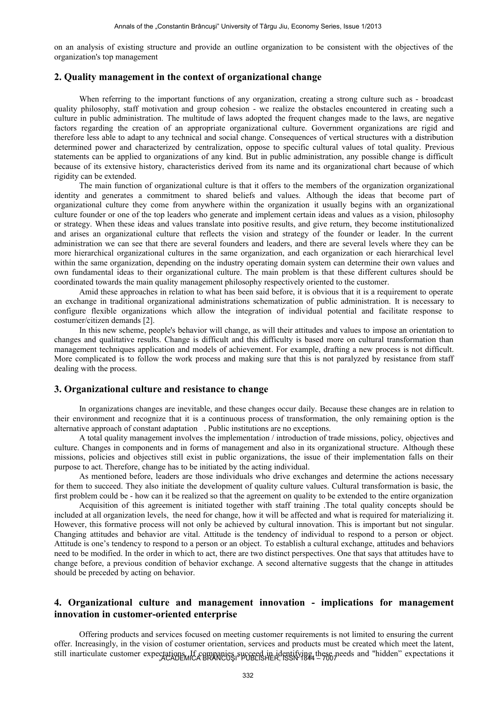on an analysis of existing structure and provide an outline organization to be consistent with the objectives of the organization's top management

# **2. Quality management in the context of organizational change**

When referring to the important functions of any organization, creating a strong culture such as - broadcast quality philosophy, staff motivation and group cohesion - we realize the obstacles encountered in creating such a culture in public administration. The multitude of laws adopted the frequent changes made to the laws, are negative factors regarding the creation of an appropriate organizational culture. Government organizations are rigid and therefore less able to adapt to any technical and social change. Consequences of vertical structures with a distribution determined power and characterized by centralization, oppose to specific cultural values of total quality. Previous statements can be applied to organizations of any kind. But in public administration, any possible change is difficult because of its extensive history, characteristics derived from its name and its organizational chart because of which rigidity can be extended.

The main function of organizational culture is that it offers to the members of the organization organizational identity and generates a commitment to shared beliefs and values. Although the ideas that become part of organizational culture they come from anywhere within the organization it usually begins with an organizational culture founder or one of the top leaders who generate and implement certain ideas and values as a vision, philosophy or strategy. When these ideas and values translate into positive results, and give return, they become institutionalized and arises an organizational culture that reflects the vision and strategy of the founder or leader. In the current administration we can see that there are several founders and leaders, and there are several levels where they can be more hierarchical organizational cultures in the same organization, and each organization or each hierarchical level within the same organization, depending on the industry operating domain system can determine their own values and own fundamental ideas to their organizational culture. The main problem is that these different cultures should be coordinated towards the main quality management philosophy respectively oriented to the customer.

Amid these approaches in relation to what has been said before, it is obvious that it is a requirement to operate an exchange in traditional organizational administrations schematization of public administration. It is necessary to configure flexible organizations which allow the integration of individual potential and facilitate response to costumer/citizen demands [2].

In this new scheme, people's behavior will change, as will their attitudes and values to impose an orientation to changes and qualitative results. Change is difficult and this difficulty is based more on cultural transformation than management techniques application and models of achievement. For example, drafting a new process is not difficult. More complicated is to follow the work process and making sure that this is not paralyzed by resistance from staff dealing with the process.

# **3. Organizational culture and resistance to change**

In organizations changes are inevitable, and these changes occur daily. Because these changes are in relation to their environment and recognize that it is a continuous process of transformation, the only remaining option is the alternative approach of constant adaptation . Public institutions are no exceptions.

A total quality management involves the implementation / introduction of trade missions, policy, objectives and culture. Changes in components and in forms of management and also in its organizational structure. Although these missions, policies and objectives still exist in public organizations, the issue of their implementation falls on their purpose to act. Therefore, change has to be initiated by the acting individual.

As mentioned before, leaders are those individuals who drive exchanges and determine the actions necessary for them to succeed. They also initiate the development of quality culture values. Cultural transformation is basic, the first problem could be - how can it be realized so that the agreement on quality to be extended to the entire organization

Acquisition of this agreement is initiated together with staff training .The total quality concepts should be included at all organization levels, the need for change, how it will be affected and what is required for materializing it. However, this formative process will not only be achieved by cultural innovation. This is important but not singular. Changing attitudes and behavior are vital. Attitude is the tendency of individual to respond to a person or object. Attitude is one's tendency to respond to a person or an object. To establish a cultural exchange, attitudes and behaviors need to be modified. In the order in which to act, there are two distinct perspectives. One that says that attitudes have to change before, a previous condition of behavior exchange. A second alternative suggests that the change in attitudes should be preceded by acting on behavior.

# **4. Organizational culture and management innovation - implications for management innovation in customer-oriented enterprise**

Offering products and services focused on meeting customer requirements is not limited to ensuring the current offer. Increasingly, in the vision of costumer orientation, services and products must be created which meet the latent, still inarticulate customer expectations. If companies succeed in identifying these needs and "hidden" expectations it<br>ACADEMICA BRÂNCUŞI" PUBLISHER, ISSN 1844 – 7007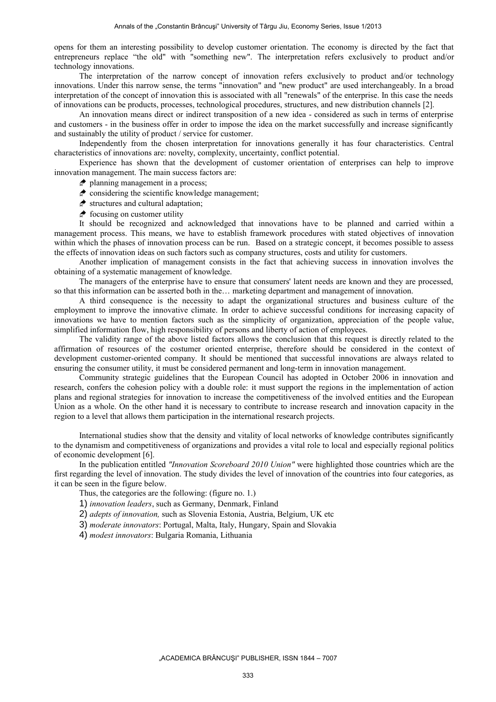opens for them an interesting possibility to develop customer orientation. The economy is directed by the fact that entrepreneurs replace "the old" with "something new". The interpretation refers exclusively to product and/or technology innovations.

The interpretation of the narrow concept of innovation refers exclusively to product and/or technology innovations. Under this narrow sense, the terms "innovation" and "new product" are used interchangeably. In a broad interpretation of the concept of innovation this is associated with all "renewals" of the enterprise. In this case the needs of innovations can be products, processes, technological procedures, structures, and new distribution channels [2].

An innovation means direct or indirect transposition of a new idea - considered as such in terms of enterprise and customers - in the business offer in order to impose the idea on the market successfully and increase significantly and sustainably the utility of product / service for customer.

Independently from the chosen interpretation for innovations generally it has four characteristics. Central characteristics of innovations are: novelty, complexity, uncertainty, conflict potential.

Experience has shown that the development of customer orientation of enterprises can help to improve innovation management. The main success factors are:

- $\phi$  planning management in a process;
- $\phi$  considering the scientific knowledge management;
- $\triangle$  structures and cultural adaptation;
- $\phi$  focusing on customer utility

It should be recognized and acknowledged that innovations have to be planned and carried within a management process. This means, we have to establish framework procedures with stated objectives of innovation within which the phases of innovation process can be run. Based on a strategic concept, it becomes possible to assess the effects of innovation ideas on such factors such as company structures, costs and utility for customers.

Another implication of management consists in the fact that achieving success in innovation involves the obtaining of a systematic management of knowledge.

The managers of the enterprise have to ensure that consumers' latent needs are known and they are processed, so that this information can be asserted both in the… marketing department and management of innovation.

A third consequence is the necessity to adapt the organizational structures and business culture of the employment to improve the innovative climate. In order to achieve successful conditions for increasing capacity of innovations we have to mention factors such as the simplicity of organization, appreciation of the people value, simplified information flow, high responsibility of persons and liberty of action of employees.

The validity range of the above listed factors allows the conclusion that this request is directly related to the affirmation of resources of the costumer oriented enterprise, therefore should be considered in the context of development customer-oriented company. It should be mentioned that successful innovations are always related to ensuring the consumer utility, it must be considered permanent and long-term in innovation management.

Community strategic guidelines that the European Council has adopted in October 2006 in innovation and research, confers the cohesion policy with a double role: it must support the regions in the implementation of action plans and regional strategies for innovation to increase the competitiveness of the involved entities and the European Union as a whole. On the other hand it is necessary to contribute to increase research and innovation capacity in the region to a level that allows them participation in the international research projects.

International studies show that the density and vitality of local networks of knowledge contributes significantly to the dynamism and competitiveness of organizations and provides a vital role to local and especially regional politics of economic development [6].

In the publication entitled *"Innovation Scoreboard 2010 Union"* were highlighted those countries which are the first regarding the level of innovation. The study divides the level of innovation of the countries into four categories, as it can be seen in the figure below.

Thus, the categories are the following: (figure no. 1.)

1) *innovation leaders*, such as Germany, Denmark, Finland

2) *adepts of innovation,* such as Slovenia Estonia, Austria, Belgium, UK etc

3) *moderate innovators*: Portugal, Malta, Italy, Hungary, Spain and Slovakia

4) *modest innovators*: Bulgaria Romania, Lithuania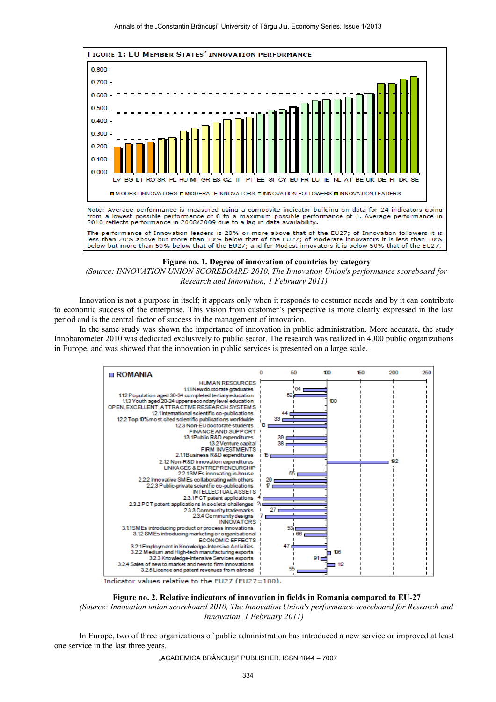

#### **Figure no. 1. Degree of innovation of countries by category**

*(Source: INNOVATION UNION SCOREBOARD 2010, The Innovation Union's performance scoreboard for Research and Innovation, 1 February 2011)*

Innovation is not a purpose in itself; it appears only when it responds to costumer needs and by it can contribute to economic success of the enterprise. This vision from customer's perspective is more clearly expressed in the last period and is the central factor of success in the management of innovation.

In the same study was shown the importance of innovation in public administration. More accurate, the study Innobarometer 2010 was dedicated exclusively to public sector. The research was realized in 4000 public organizations in Europe, and was showed that the innovation in public services is presented on a large scale.



**Figure no. 2. Relative indicators of innovation in fields in Romania compared to EU-27** *(Source: Innovation union scoreboard 2010, The Innovation Union's performance scoreboard for Research and Innovation, 1 February 2011)*

In Europe, two of three organizations of public administration has introduced a new service or improved at least one service in the last three years.

"ACADEMICA BRÂNCUŞI" PUBLISHER, ISSN 1844 - 7007